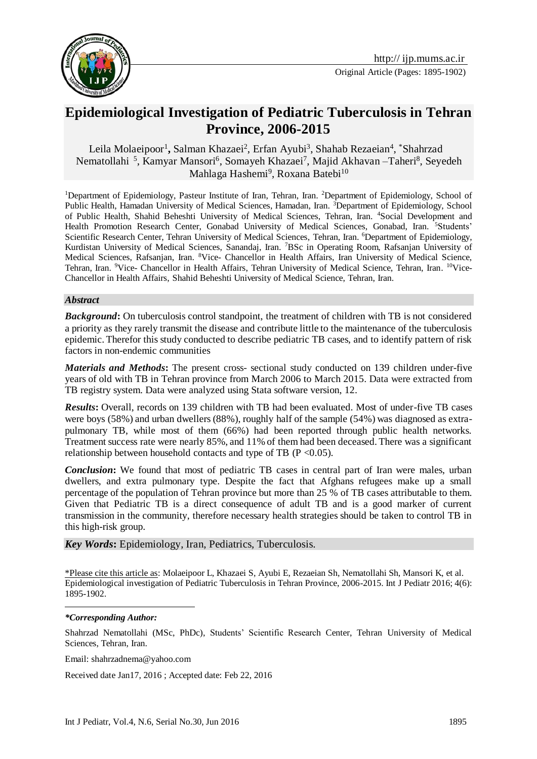



# **Epidemiological Investigation of Pediatric Tuberculosis in Tehran Province, 2006-2015**

Leila Molaeipoor<sup>1</sup>, Salman Khazaei<sup>2</sup>, Erfan Ayubi<sup>3</sup>, Shahab Rezaeian<sup>4</sup>, \*Shahrzad Nematollahi<sup>5</sup>, Kamyar Mansori<sup>6</sup>, Somayeh Khazaei<sup>7</sup>, Majid Akhavan –Taheri<sup>8</sup>, Seyedeh Mahlaga Hashemi<sup>9</sup>, Roxana Batebi<sup>10</sup>

<sup>1</sup>Department of Epidemiology, Pasteur Institute of Iran, Tehran, Iran. <sup>2</sup>Department of Epidemiology, School of Public Health, Hamadan University of Medical Sciences, Hamadan, Iran. <sup>3</sup>Department of Epidemiology, School of Public Health, Shahid Beheshti University of Medical Sciences, Tehran, Iran. <sup>4</sup>Social Development and Health Promotion Research Center, Gonabad University of Medical Sciences, Gonabad, Iran. <sup>5</sup>Students' Scientific Research Center, Tehran University of Medical Sciences, Tehran, Iran. <sup>6</sup>Department of Epidemiology, Kurdistan University of Medical Sciences, Sanandaj, Iran. <sup>7</sup>BSc in Operating Room, Rafsanjan University of Medical Sciences, Rafsanjan, Iran. <sup>8</sup>Vice- Chancellor in Health Affairs, Iran University of Medical Science, Tehran, Iran. <sup>9</sup>Vice- Chancellor in Health Affairs, Tehran University of Medical Science, Tehran, Iran. <sup>10</sup>Vice-Chancellor in Health Affairs, Shahid Beheshti University of Medical Science, Tehran, Iran.

#### *Abstract*

*Background***:** On tuberculosis control standpoint, the treatment of children with TB is not considered a priority as they rarely transmit the disease and contribute little to the maintenance of the tuberculosis epidemic. Therefor this study conducted to describe pediatric TB cases, and to identify pattern of risk factors in non-endemic communities

*Materials and Methods***:** The present cross- sectional study conducted on 139 children under-five years of old with TB in Tehran province from March 2006 to March 2015. Data were extracted from TB registry system. Data were analyzed using Stata software version, 12.

*Results*: Overall, records on 139 children with TB had been evaluated. Most of under-five TB cases were boys (58%) and urban dwellers (88%), roughly half of the sample (54%) was diagnosed as extrapulmonary TB, while most of them (66%) had been reported through public health networks. Treatment success rate were nearly 85%, and 11% of them had been deceased. There was a significant relationship between household contacts and type of TB ( $P \le 0.05$ ).

*Conclusion***:** We found that most of pediatric TB cases in central part of Iran were males, urban dwellers, and extra pulmonary type. Despite the fact that Afghans refugees make up a small percentage of the population of Tehran province but more than 25 % of TB cases attributable to them. Given that Pediatric TB is a direct consequence of adult TB and is a good marker of current transmission in the community, therefore necessary health strategies should be taken to control TB in this high-risk group.

#### *Key Words***:** Epidemiology, Iran, Pediatrics, Tuberculosis.

\*Please cite this article as: Molaeipoor L, Khazaei S, Ayubi E, Rezaeian Sh, Nematollahi Sh, Mansori K, et al. Epidemiological investigation of Pediatric Tuberculosis in Tehran Province, 2006-2015. Int J Pediatr 2016; 4(6): 1895-1902.

#### *\*Corresponding Author:*

-

Shahrzad Nematollahi (MSc, PhDc), Students' Scientific Research Center, Tehran University of Medical Sciences, Tehran, Iran.

Email: shahrzadnema@yahoo.com

Received date Jan17, 2016 ; Accepted date: Feb 22, 2016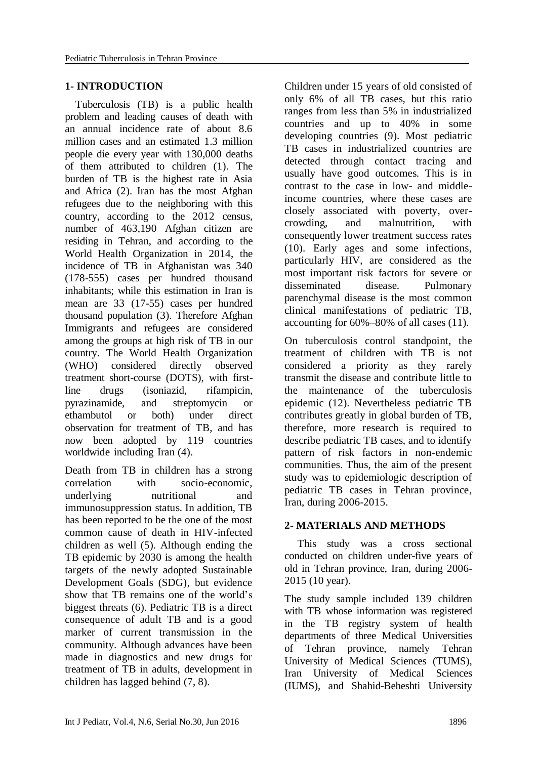# **1- INTRODUCTION**

 Tuberculosis (TB) is a public health problem and leading causes of death with an annual incidence rate of about 8.6 million cases and an estimated 1.3 million people die every year with 130,000 deaths of them attributed to children [\(1\)](#page-6-0). The burden of TB is the highest rate in Asia and Africa [\(2\)](#page-6-1). Iran has the most Afghan refugees due to the neighboring with this country, according to the 2012 census, number of 463,190 Afghan citizen are residing in Tehran, and according to the World Health Organization in 2014, the incidence of TB in Afghanistan was 340 (178-555) cases per hundred thousand inhabitants; while this estimation in Iran is mean are 33 (17-55) cases per hundred thousand population [\(3\)](#page-6-2). Therefore Afghan Immigrants and refugees are considered among the groups at high risk of TB in our country. The World Health Organization (WHO) considered directly observed treatment short-course (DOTS), with firstline drugs (isoniazid, rifampicin, pyrazinamide, and streptomycin or ethambutol or both) under direct observation for treatment of TB, and has now been adopted by 119 countries worldwide including Iran [\(4\)](#page-6-3).

Death from TB in children has a strong correlation with socio-economic, underlying nutritional and immunosuppression status. In addition, TB has been reported to be the one of the most common cause of death in HIV-infected children as well [\(5\)](#page-6-4). Although ending the TB epidemic by 2030 is among the health targets of the newly adopted Sustainable Development Goals (SDG), but evidence show that TB remains one of the world's biggest threats [\(6\)](#page-6-5). Pediatric TB is a direct consequence of adult TB and is a good marker of current transmission in the community. Although advances have been made in diagnostics and new drugs for treatment of TB in adults, development in children has lagged behind [\(7,](#page-6-6) 8).

Children under 15 years of old consisted of only 6% of all TB cases, but this ratio ranges from less than 5% in industrialized countries and up to 40% in some developing countries [\(9\)](#page-6-7). Most pediatric TB cases in industrialized countries are detected through contact tracing and usually have good outcomes. This is in contrast to the case in low- and middleincome countries, where these cases are closely associated with poverty, overcrowding, and malnutrition, with consequently lower treatment success rates [\(10\)](#page-6-8). Early ages and some infections, particularly HIV, are considered as the most important risk factors for severe or disseminated disease. Pulmonary parenchymal disease is the most common clinical manifestations of pediatric TB, accounting for 60%–80% of all cases [\(11\)](#page-6-9).

On tuberculosis control standpoint, the treatment of children with TB is not considered a priority as they rarely transmit the disease and contribute little to the maintenance of the tuberculosis epidemic [\(12\)](#page-6-10). Nevertheless pediatric TB contributes greatly in global burden of TB, therefore, more research is required to describe pediatric TB cases, and to identify pattern of risk factors in non-endemic communities. Thus, the aim of the present study was to epidemiologic description of pediatric TB cases in Tehran province, Iran, during 2006-2015.

# **2- MATERIALS AND METHODS**

 This study was a cross sectional conducted on children under-five years of old in Tehran province, Iran, during 2006- 2015 (10 year).

The study sample included 139 children with TB whose information was registered in the TB registry system of health departments of three Medical Universities of Tehran province, namely Tehran University of Medical Sciences (TUMS), Iran University of Medical Sciences (IUMS), and Shahid-Beheshti University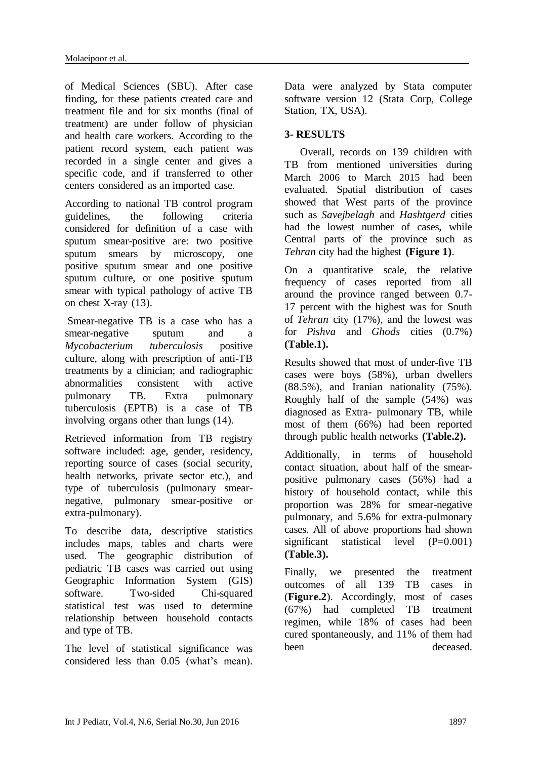of Medical Sciences (SBU). After case finding, for these patients created care and treatment file and for six months (final of treatment) are under follow of physician and health care workers. According to the patient record system, each patient was recorded in a single center and gives a specific code, and if transferred to other centers considered as an imported case.

According to national TB control program guidelines, the following criteria considered for definition of a case with sputum smear-positive are: two positive sputum smears by microscopy, one positive sputum smear and one positive sputum culture, or one positive sputum smear with typical pathology of active TB on chest X-ray [\(13\)](#page-6-11).

Smear-negative TB is a case who has a smear-negative sputum and a *Mycobacterium tuberculosis* positive culture, along with prescription of anti-TB treatments by a clinician; and radiographic abnormalities consistent with active pulmonary TB. Extra pulmonary tuberculosis (EPTB) is a case of TB involving organs other than lungs [\(14\)](#page-6-12).

Retrieved information from TB registry software included: age, gender, residency, reporting source of cases (social security, health networks, private sector etc.), and type of tuberculosis (pulmonary smearnegative, pulmonary smear-positive or extra-pulmonary).

To describe data, descriptive statistics includes maps, tables and charts were used. The geographic distribution of pediatric TB cases was carried out using Geographic Information System (GIS) software. Two-sided Chi-squared statistical test was used to determine relationship between household contacts and type of TB.

The level of statistical significance was considered less than 0.05 (what's mean). Data were analyzed by Stata computer software version 12 (Stata Corp, College Station, TX, USA).

# **3- RESULTS**

 Overall, records on 139 children with TB from mentioned universities during March 2006 to March 2015 had been evaluated. Spatial distribution of cases showed that West parts of the province such as *Savejbelagh* and *Hashtgerd* cities had the lowest number of cases, while Central parts of the province such as *Tehran* city had the highest **(Figure 1)**.

On a quantitative scale, the relative frequency of cases reported from all around the province ranged between 0.7- 17 percent with the highest was for South of *Tehran* city (17%), and the lowest was for *Pishva* and *Ghods* cities (0.7%) **(Table.1).**

Results showed that most of under-five TB cases were boys (58%), urban dwellers (88.5%), and Iranian nationality (75%). Roughly half of the sample (54%) was diagnosed as Extra- pulmonary TB, while most of them (66%) had been reported through public health networks **(Table.2).**

Additionally, in terms of household contact situation, about half of the smearpositive pulmonary cases (56%) had a history of household contact, while this proportion was 28% for smear-negative pulmonary, and 5.6% for extra-pulmonary cases. All of above proportions had shown significant statistical level (P=0.001) **(Table.3).**

Finally, we presented the treatment outcomes of all 139 TB cases in (**Figure.2**). Accordingly, most of cases (67%) had completed TB treatment regimen, while 18% of cases had been cured spontaneously, and 11% of them had been deceased.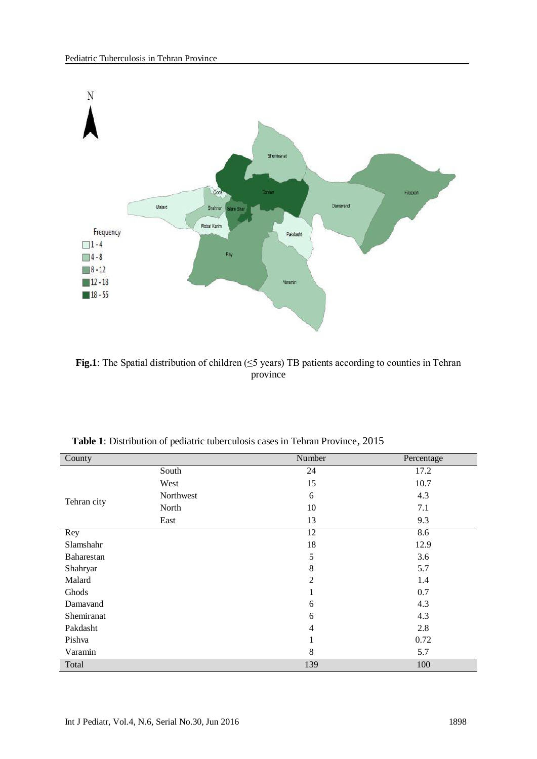

**Fig.1**: The Spatial distribution of children (≤5 years) TB patients according to counties in Tehran province

| County      |           | Number         | Percentage |  |
|-------------|-----------|----------------|------------|--|
|             | South     | 24             | 17.2       |  |
|             | West      | 15             | 10.7       |  |
| Tehran city | Northwest | 6              | 4.3        |  |
|             | North     | 10             | 7.1        |  |
|             | East      | 13             | 9.3        |  |
| Rey         |           | 12             | 8.6        |  |
| Slamshahr   |           | 18             | 12.9       |  |
| Baharestan  |           | 5              | 3.6        |  |
| Shahryar    |           | 8              | 5.7        |  |
| Malard      |           | $\overline{2}$ | 1.4        |  |
| Ghods       |           | 1<br>1         | 0.7        |  |
| Damavand    |           | 6              | 4.3        |  |
| Shemiranat  |           | 6              | 4.3        |  |
| Pakdasht    |           | $\overline{4}$ | 2.8        |  |
| Pishva      |           | 1              | 0.72       |  |
| Varamin     |           | 8              | 5.7        |  |
| Total       |           | 139            | 100        |  |

 **Table 1**: Distribution of pediatric tuberculosis cases in Tehran Province, 2015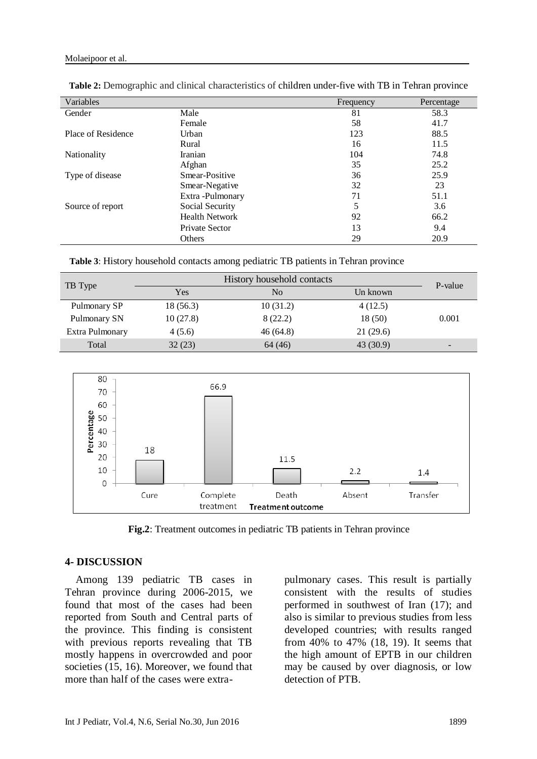| Variables          |                       | Frequency | Percentage |
|--------------------|-----------------------|-----------|------------|
| Gender             | Male                  | 81        | 58.3       |
|                    | Female                | 58        | 41.7       |
| Place of Residence | Urban                 | 123       | 88.5       |
|                    | Rural                 | 16        | 11.5       |
| Nationality        | Iranian               | 104       | 74.8       |
|                    | Afghan                | 35        | 25.2       |
| Type of disease    | Smear-Positive        | 36        | 25.9       |
|                    | Smear-Negative        | 32        | 23         |
|                    | Extra-Pulmonary       | 71        | 51.1       |
| Source of report   | Social Security       | 5         | 3.6        |
|                    | <b>Health Network</b> | 92        | 66.2       |
|                    | Private Sector        | 13        | 9.4        |
|                    | Others                | 29        | 20.9       |

**Table 2:** Demographic and clinical characteristics of children under-five with TB in Tehran province

 **Table 3**: History household contacts among pediatric TB patients in Tehran province

| TB Type         | History household contacts |          |           | P-value                  |
|-----------------|----------------------------|----------|-----------|--------------------------|
|                 | Yes                        | No       | Un known  |                          |
| Pulmonary SP    | 18(56.3)                   | 10(31.2) | 4(12.5)   |                          |
| Pulmonary SN    | 10(27.8)                   | 8(22.2)  | 18(50)    | 0.001                    |
| Extra Pulmonary | 4(5.6)                     | 46(64.8) | 21(29.6)  |                          |
| Total           | 32(23)                     | 64 (46)  | 43 (30.9) | $\overline{\phantom{0}}$ |



**Fig.2**: Treatment outcomes in pediatric TB patients in Tehran province

#### **4- DISCUSSION**

 Among 139 pediatric TB cases in Tehran province during 2006-2015, we found that most of the cases had been reported from South and Central parts of the province. This finding is consistent with previous reports revealing that TB mostly happens in overcrowded and poor societies [\(15,](#page-6-13) [16\)](#page-6-14). Moreover, we found that more than half of the cases were extrapulmonary cases. This result is partially consistent with the results of studies performed in southwest of Iran [\(17\)](#page-7-0); and also is similar to previous studies from less developed countries; with results ranged from 40% to 47% [\(18,](#page-7-1) [19\)](#page-7-2). It seems that the high amount of EPTB in our children may be caused by over diagnosis, or low detection of PTB.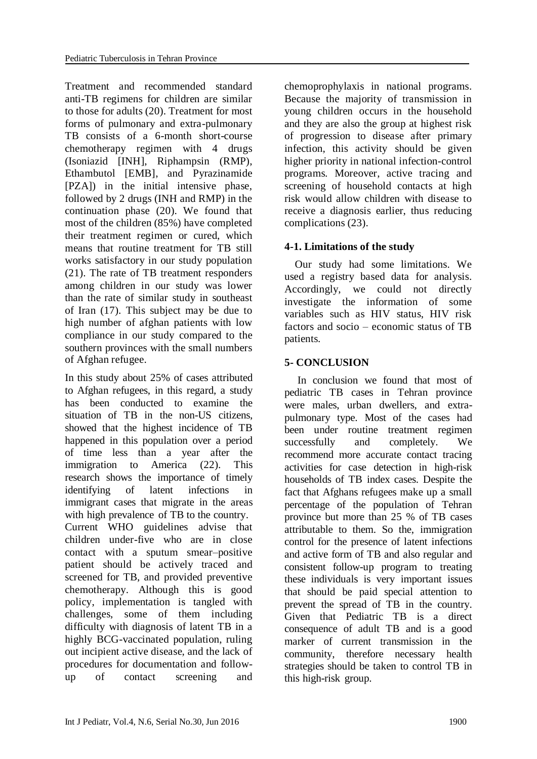Treatment and recommended standard anti-TB regimens for children are similar to those for adults [\(20\)](#page-7-3). Treatment for most forms of pulmonary and extra-pulmonary TB consists of a 6-month short-course chemotherapy regimen with 4 drugs (Isoniazid [INH], Riphampsin (RMP), Ethambutol [EMB], and Pyrazinamide [PZA]) in the initial intensive phase, followed by 2 drugs (INH and RMP) in the continuation phase [\(20\)](#page-7-3). We found that most of the children (85%) have completed their treatment regimen or cured, which means that routine treatment for TB still works satisfactory in our study population [\(21\)](#page-7-4). The rate of TB treatment responders among children in our study was lower than the rate of similar study in southeast of Iran [\(17\)](#page-7-0). This subject may be due to high number of afghan patients with low compliance in our study compared to the southern provinces with the small numbers of Afghan refugee.

In this study about 25% of cases attributed to Afghan refugees, in this regard, a study has been conducted to examine the situation of TB in the non-US citizens, showed that the highest incidence of TB happened in this population over a period of time less than a year after the immigration to America [\(22\)](#page-7-5). This research shows the importance of timely identifying of latent infections in immigrant cases that migrate in the areas with high prevalence of TB to the country.

Current WHO guidelines advise that children under-five who are in close contact with a sputum smear–positive patient should be actively traced and screened for TB, and provided preventive chemotherapy. Although this is good policy, implementation is tangled with challenges, some of them including difficulty with diagnosis of latent TB in a highly BCG-vaccinated population, ruling out incipient active disease, and the lack of procedures for documentation and followup of contact screening and

chemoprophylaxis in national programs. Because the majority of transmission in young children occurs in the household and they are also the group at highest risk of progression to disease after primary infection, this activity should be given higher priority in national infection-control programs. Moreover, active tracing and screening of household contacts at high risk would allow children with disease to receive a diagnosis earlier, thus reducing complications [\(23\)](#page-7-6).

# **4-1. Limitations of the study**

 Our study had some limitations. We used a registry based data for analysis. Accordingly, we could not directly investigate the information of some variables such as HIV status, HIV risk factors and socio – economic status of TB patients.

# **5- CONCLUSION**

 In conclusion we found that most of pediatric TB cases in Tehran province were males, urban dwellers, and extrapulmonary type. Most of the cases had been under routine treatment regimen successfully and completely. We recommend more accurate contact tracing activities for case detection in high-risk households of TB index cases. Despite the fact that Afghans refugees make up a small percentage of the population of Tehran province but more than 25 % of TB cases attributable to them. So the, immigration control for the presence of latent infections and active form of TB and also regular and consistent follow-up program to treating these individuals is very important issues that should be paid special attention to prevent the spread of TB in the country. Given that Pediatric TB is a direct consequence of adult TB and is a good marker of current transmission in the community, therefore necessary health strategies should be taken to control TB in this high-risk group.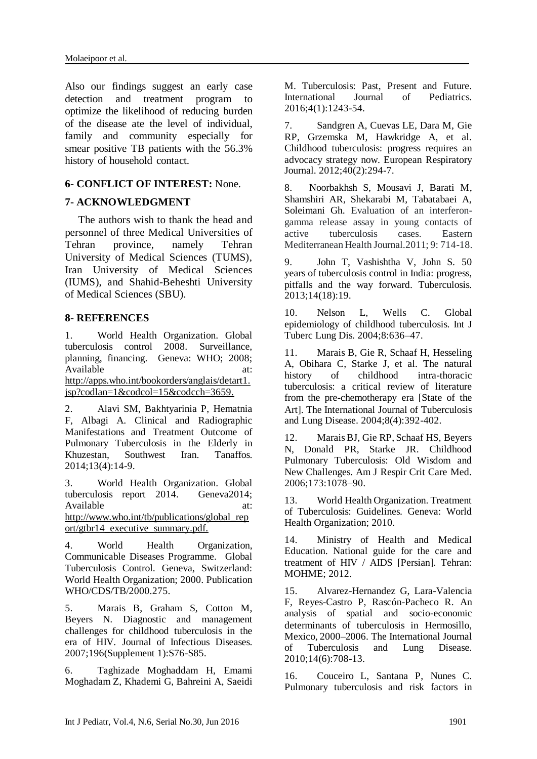Also our findings suggest an early case detection and treatment program to optimize the likelihood of reducing burden of the disease ate the level of individual, family and community especially for smear positive TB patients with the 56.3% history of household contact.

# **6- CONFLICT OF INTEREST:** None.

# **7- ACKNOWLEDGMENT**

 The authors wish to thank the head and personnel of three Medical Universities of Tehran province, namely Tehran University of Medical Sciences (TUMS), Iran University of Medical Sciences (IUMS), and Shahid-Beheshti University of Medical Sciences (SBU).

### **8- REFERENCES**

<span id="page-6-0"></span>1. World Health Organization. Global tuberculosis control 2008. Surveillance, planning, financing. Geneva: WHO; 2008; Available at: http://apps.who.int/bookorders/anglais/detart1. jsp?codlan=1&codcol=15&codcch=3659.

<span id="page-6-1"></span>2. Alavi SM, Bakhtyarinia P, Hematnia F, Albagi A. Clinical and Radiographic Manifestations and Treatment Outcome of Pulmonary Tuberculosis in the Elderly in Khuzestan, Southwest Iran. Tanaffos. 2014;13(4):14-9.

<span id="page-6-2"></span>3. World Health Organization. Global tuberculosis report 2014. Geneva2014; Available at: http://www.who.int/tb/publications/global\_rep ort/gtbr14\_executive\_summary.pdf.

<span id="page-6-3"></span>4. World Health Organization, Communicable Diseases Programme. Global Tuberculosis Control. Geneva, Switzerland: World Health Organization; 2000. Publication WHO/CDS/TB/2000.275.

<span id="page-6-4"></span>5. Marais B, Graham S, Cotton M, Beyers N. Diagnostic and management challenges for childhood tuberculosis in the era of HIV. Journal of Infectious Diseases. 2007;196(Supplement 1):S76-S85.

<span id="page-6-5"></span>6. Taghizade Moghaddam H, Emami Moghadam Z, Khademi G, Bahreini A, Saeidi M. Tuberculosis: Past, Present and Future.<br>International Journal of Pediatrics. **International** 2016;4(1):1243-54.

<span id="page-6-6"></span>7. Sandgren A, Cuevas LE, Dara M, Gie RP, Grzemska M, Hawkridge A, et al. Childhood tuberculosis: progress requires an advocacy strategy now. European Respiratory Journal. 2012;40(2):294-7.

8. Noorbakhsh S, Mousavi J, Barati M, Shamshiri AR, Shekarabi M, Tabatabaei A, Soleimani Gh. Evaluation of an interferongamma release assay in young contacts of active tuberculosis cases. Eastern Mediterranean Health Journal.2011; 9: 714-18.

<span id="page-6-7"></span>9. John T, Vashishtha V, John S. 50 years of tuberculosis control in India: progress, pitfalls and the way forward. Tuberculosis. 2013;14(18):19.

<span id="page-6-8"></span>10. Nelson L, Wells C. Global epidemiology of childhood tuberculosis. Int J Tuberc Lung Dis. 2004;8:636–47.

<span id="page-6-9"></span>11. Marais B, Gie R, Schaaf H, Hesseling A, Obihara C, Starke J, et al. The natural history of childhood intra-thoracic tuberculosis: a critical review of literature from the pre-chemotherapy era [State of the Art]. The International Journal of Tuberculosis and Lung Disease. 2004;8(4):392-402.

<span id="page-6-10"></span>12. Marais BJ, Gie RP, Schaaf HS, Beyers N, Donald PR, Starke JR. Childhood Pulmonary Tuberculosis: Old Wisdom and New Challenges. Am J Respir Crit Care Med. 2006;173:1078–90.

<span id="page-6-11"></span>13. World Health Organization. Treatment of Tuberculosis: Guidelines. Geneva: World Health Organization; 2010.

<span id="page-6-12"></span>14. Ministry of Health and Medical Education. National guide for the care and treatment of HIV / AIDS [Persian]. Tehran: MOHME; 2012.

<span id="page-6-13"></span>15. Alvarez-Hernandez G, Lara-Valencia F, Reyes-Castro P, Rascón-Pacheco R. An analysis of spatial and socio-economic determinants of tuberculosis in Hermosillo, Mexico, 2000–2006. The International Journal of Tuberculosis and Lung Disease. 2010;14(6):708-13.

<span id="page-6-14"></span>16. Couceiro L, Santana P, Nunes C. Pulmonary tuberculosis and risk factors in